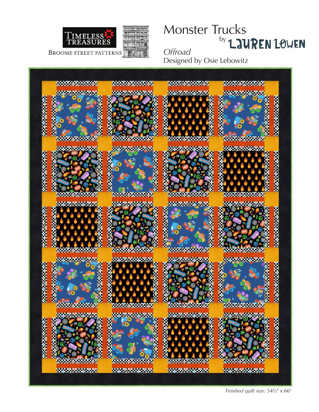

# Monster Trucks by LAUREN LOWEN *Offroad*

Designed by Osie Lebowitz



*Finished quilt size:* 54½" x 66"